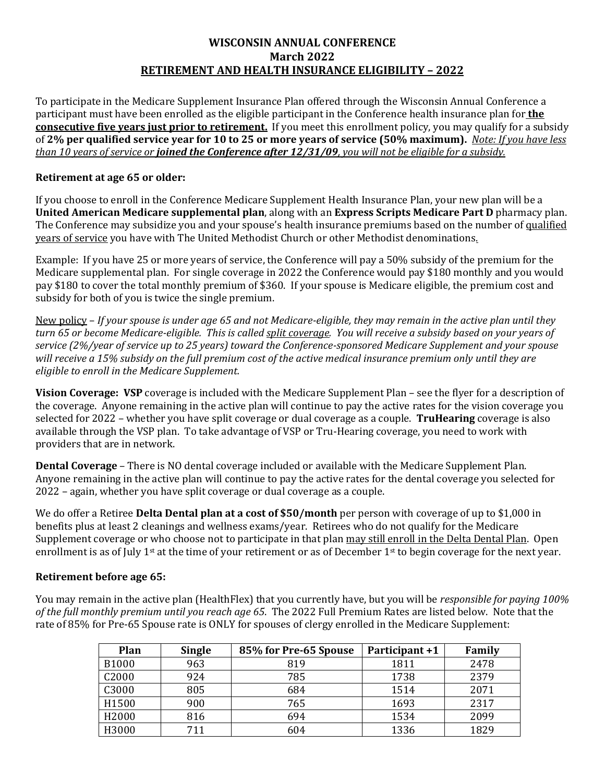## **WISCONSIN ANNUAL CONFERENCE March 2022 RETIREMENT AND HEALTH INSURANCE ELIGIBILITY – 2022**

To participate in the Medicare Supplement Insurance Plan offered through the Wisconsin Annual Conference a participant must have been enrolled as the eligible participant in the Conference health insurance plan for **the consecutive five years just prior to retirement.** If you meet this enrollment policy, you may qualify for a subsidy of **2% per qualified service year for 10 to 25 or more years of service (50% maximum).** *Note: If you have less than 10 years of service or joined the Conference after 12/31/09, you will not be eligible for a subsidy.*

## **Retirement at age 65 or older:**

If you choose to enroll in the Conference Medicare Supplement Health Insurance Plan, your new plan will be a **United American Medicare supplemental plan**, along with an **Express Scripts Medicare Part D** pharmacy plan. The Conference may subsidize you and your spouse's health insurance premiums based on the number of qualified years of service you have with The United Methodist Church or other Methodist denominations*.*

Example: If you have 25 or more years of service, the Conference will pay a 50% subsidy of the premium for the Medicare supplemental plan. For single coverage in 2022 the Conference would pay \$180 monthly and you would pay \$180 to cover the total monthly premium of \$360. If your spouse is Medicare eligible, the premium cost and subsidy for both of you is twice the single premium.

New policy – *If your spouse is under age 65 and not Medicare-eligible, they may remain in the active plan until they turn 65 or become Medicare-eligible. This is called split coverage. You will receive a subsidy based on your years of service (2%/year of service up to 25 years) toward the Conference-sponsored Medicare Supplement and your spouse will receive a 15% subsidy on the full premium cost of the active medical insurance premium only until they are eligible to enroll in the Medicare Supplement.* 

**Vision Coverage: VSP** coverage is included with the Medicare Supplement Plan – see the flyer for a description of the coverage. Anyone remaining in the active plan will continue to pay the active rates for the vision coverage you selected for 2022 – whether you have split coverage or dual coverage as a couple. **TruHearing** coverage is also available through the VSP plan. To take advantage of VSP or Tru-Hearing coverage, you need to work with providers that are in network.

**Dental Coverage** – There is NO dental coverage included or available with the Medicare Supplement Plan. Anyone remaining in the active plan will continue to pay the active rates for the dental coverage you selected for 2022 – again, whether you have split coverage or dual coverage as a couple.

We do offer a Retiree **Delta Dental plan at a cost of \$50/month** per person with coverage of up to \$1,000 in benefits plus at least 2 cleanings and wellness exams/year. Retirees who do not qualify for the Medicare Supplement coverage or who choose not to participate in that plan may still enroll in the Delta Dental Plan. Open enrollment is as of July 1<sup>st</sup> at the time of your retirement or as of December 1<sup>st</sup> to begin coverage for the next year.

## **Retirement before age 65:**

You may remain in the active plan (HealthFlex) that you currently have, but you will be *responsible for paying 100% of the full monthly premium until you reach age 65*. The 2022 Full Premium Rates are listed below. Note that the rate of 85% for Pre-65 Spouse rate is ONLY for spouses of clergy enrolled in the Medicare Supplement:

| Plan         | <b>Single</b> | 85% for Pre-65 Spouse | Participant +1 | Family |
|--------------|---------------|-----------------------|----------------|--------|
| <b>B1000</b> | 963           | 819                   | 1811           | 2478   |
| C2000        | 924           | 785                   | 1738           | 2379   |
| C3000        | 805           | 684                   | 1514           | 2071   |
| H1500        | 900           | 765                   | 1693           | 2317   |
| H2000        | 816           | 694                   | 1534           | 2099   |
| H3000        | 711           | 604                   | 1336           | 1829   |